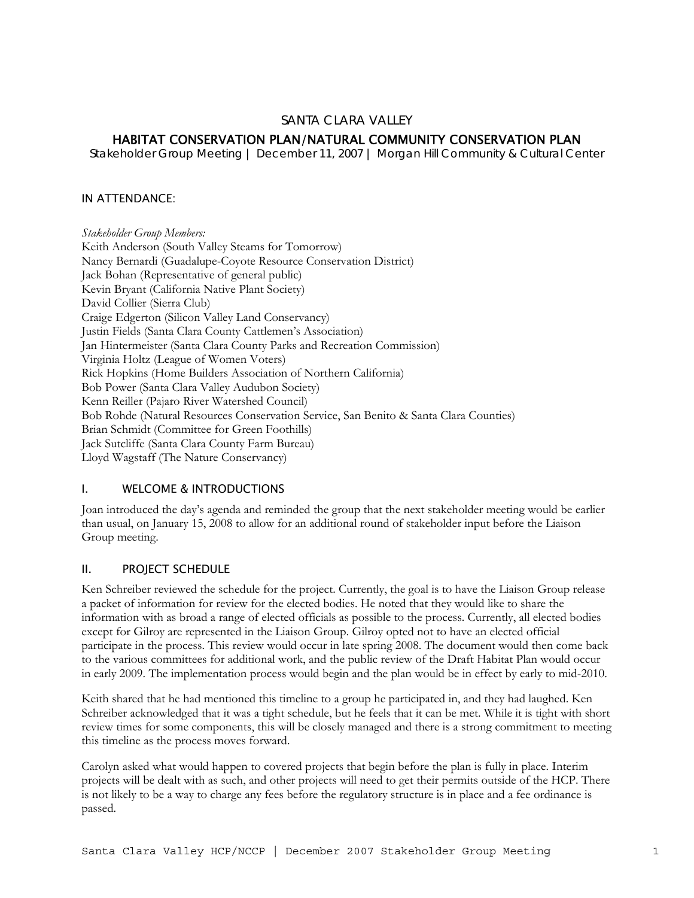## SANTA CLARA VALLEY

# HABITAT CONSERVATION PLAN/NATURAL COMMUNITY CONSERVATION PLAN

*Stakeholder Group Meeting | December 11, 2007 | Morgan Hill Community & Cultural Center* 

#### IN ATTENDANCE:

*Stakeholder Group Members:*  Keith Anderson (South Valley Steams for Tomorrow) Nancy Bernardi (Guadalupe-Coyote Resource Conservation District) Jack Bohan (Representative of general public) Kevin Bryant (California Native Plant Society) David Collier (Sierra Club) Craige Edgerton (Silicon Valley Land Conservancy) Justin Fields (Santa Clara County Cattlemen's Association) Jan Hintermeister (Santa Clara County Parks and Recreation Commission) Virginia Holtz (League of Women Voters) Rick Hopkins (Home Builders Association of Northern California) Bob Power (Santa Clara Valley Audubon Society) Kenn Reiller (Pajaro River Watershed Council) Bob Rohde (Natural Resources Conservation Service, San Benito & Santa Clara Counties) Brian Schmidt (Committee for Green Foothills) Jack Sutcliffe (Santa Clara County Farm Bureau) Lloyd Wagstaff (The Nature Conservancy)

### I. WELCOME & INTRODUCTIONS

Joan introduced the day's agenda and reminded the group that the next stakeholder meeting would be earlier than usual, on January 15, 2008 to allow for an additional round of stakeholder input before the Liaison Group meeting.

### II. PROJECT SCHEDULE

Ken Schreiber reviewed the schedule for the project. Currently, the goal is to have the Liaison Group release a packet of information for review for the elected bodies. He noted that they would like to share the information with as broad a range of elected officials as possible to the process. Currently, all elected bodies except for Gilroy are represented in the Liaison Group. Gilroy opted not to have an elected official participate in the process. This review would occur in late spring 2008. The document would then come back to the various committees for additional work, and the public review of the Draft Habitat Plan would occur in early 2009. The implementation process would begin and the plan would be in effect by early to mid-2010.

Keith shared that he had mentioned this timeline to a group he participated in, and they had laughed. Ken Schreiber acknowledged that it was a tight schedule, but he feels that it can be met. While it is tight with short review times for some components, this will be closely managed and there is a strong commitment to meeting this timeline as the process moves forward.

Carolyn asked what would happen to covered projects that begin before the plan is fully in place. Interim projects will be dealt with as such, and other projects will need to get their permits outside of the HCP. There is not likely to be a way to charge any fees before the regulatory structure is in place and a fee ordinance is passed.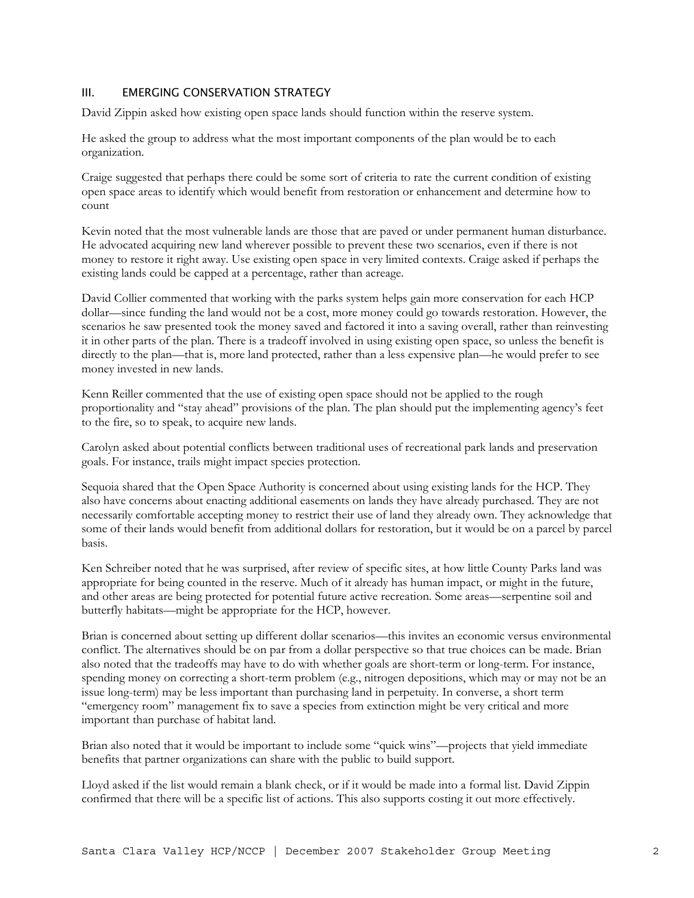## III. EMERGING CONSERVATION STRATEGY

David Zippin asked how existing open space lands should function within the reserve system.

He asked the group to address what the most important components of the plan would be to each organization.

Craige suggested that perhaps there could be some sort of criteria to rate the current condition of existing open space areas to identify which would benefit from restoration or enhancement and determine how to count

Kevin noted that the most vulnerable lands are those that are paved or under permanent human disturbance. He advocated acquiring new land wherever possible to prevent these two scenarios, even if there is not money to restore it right away. Use existing open space in very limited contexts. Craige asked if perhaps the existing lands could be capped at a percentage, rather than acreage.

David Collier commented that working with the parks system helps gain more conservation for each HCP dollar—since funding the land would not be a cost, more money could go towards restoration. However, the scenarios he saw presented took the money saved and factored it into a saving overall, rather than reinvesting it in other parts of the plan. There is a tradeoff involved in using existing open space, so unless the benefit is directly to the plan—that is, more land protected, rather than a less expensive plan—he would prefer to see money invested in new lands.

Kenn Reiller commented that the use of existing open space should not be applied to the rough proportionality and "stay ahead" provisions of the plan. The plan should put the implementing agency's feet to the fire, so to speak, to acquire new lands.

Carolyn asked about potential conflicts between traditional uses of recreational park lands and preservation goals. For instance, trails might impact species protection.

Sequoia shared that the Open Space Authority is concerned about using existing lands for the HCP. They also have concerns about enacting additional easements on lands they have already purchased. They are not necessarily comfortable accepting money to restrict their use of land they already own. They acknowledge that some of their lands would benefit from additional dollars for restoration, but it would be on a parcel by parcel basis.

Ken Schreiber noted that he was surprised, after review of specific sites, at how little County Parks land was appropriate for being counted in the reserve. Much of it already has human impact, or might in the future, and other areas are being protected for potential future active recreation. Some areas—serpentine soil and butterfly habitats—might be appropriate for the HCP, however.

Brian is concerned about setting up different dollar scenarios—this invites an economic versus environmental conflict. The alternatives should be on par from a dollar perspective so that true choices can be made. Brian also noted that the tradeoffs may have to do with whether goals are short-term or long-term. For instance, spending money on correcting a short-term problem (e.g., nitrogen depositions, which may or may not be an issue long-term) may be less important than purchasing land in perpetuity. In converse, a short term "emergency room" management fix to save a species from extinction might be very critical and more important than purchase of habitat land.

Brian also noted that it would be important to include some "quick wins"—projects that yield immediate benefits that partner organizations can share with the public to build support.

Lloyd asked if the list would remain a blank check, or if it would be made into a formal list. David Zippin confirmed that there will be a specific list of actions. This also supports costing it out more effectively.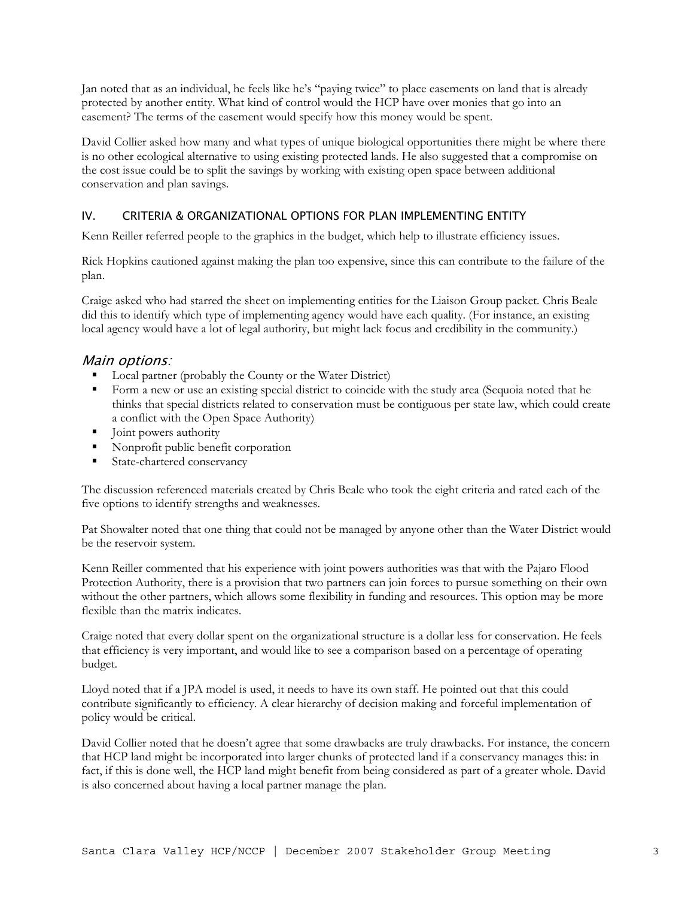Jan noted that as an individual, he feels like he's "paying twice" to place easements on land that is already protected by another entity. What kind of control would the HCP have over monies that go into an easement? The terms of the easement would specify how this money would be spent.

David Collier asked how many and what types of unique biological opportunities there might be where there is no other ecological alternative to using existing protected lands. He also suggested that a compromise on the cost issue could be to split the savings by working with existing open space between additional conservation and plan savings.

# IV. CRITERIA & ORGANIZATIONAL OPTIONS FOR PLAN IMPLEMENTING ENTITY

Kenn Reiller referred people to the graphics in the budget, which help to illustrate efficiency issues.

Rick Hopkins cautioned against making the plan too expensive, since this can contribute to the failure of the plan.

Craige asked who had starred the sheet on implementing entities for the Liaison Group packet. Chris Beale did this to identify which type of implementing agency would have each quality. (For instance, an existing local agency would have a lot of legal authority, but might lack focus and credibility in the community.)

## Main options:

- **Local partner (probably the County or the Water District)**
- Form a new or use an existing special district to coincide with the study area (Sequoia noted that he thinks that special districts related to conservation must be contiguous per state law, which could create a conflict with the Open Space Authority)
- I Joint powers authority
- Nonprofit public benefit corporation
- **State-chartered conservancy**

The discussion referenced materials created by Chris Beale who took the eight criteria and rated each of the five options to identify strengths and weaknesses.

Pat Showalter noted that one thing that could not be managed by anyone other than the Water District would be the reservoir system.

Kenn Reiller commented that his experience with joint powers authorities was that with the Pajaro Flood Protection Authority, there is a provision that two partners can join forces to pursue something on their own without the other partners, which allows some flexibility in funding and resources. This option may be more flexible than the matrix indicates.

Craige noted that every dollar spent on the organizational structure is a dollar less for conservation. He feels that efficiency is very important, and would like to see a comparison based on a percentage of operating budget.

Lloyd noted that if a JPA model is used, it needs to have its own staff. He pointed out that this could contribute significantly to efficiency. A clear hierarchy of decision making and forceful implementation of policy would be critical.

David Collier noted that he doesn't agree that some drawbacks are truly drawbacks. For instance, the concern that HCP land might be incorporated into larger chunks of protected land if a conservancy manages this: in fact, if this is done well, the HCP land might benefit from being considered as part of a greater whole. David is also concerned about having a local partner manage the plan.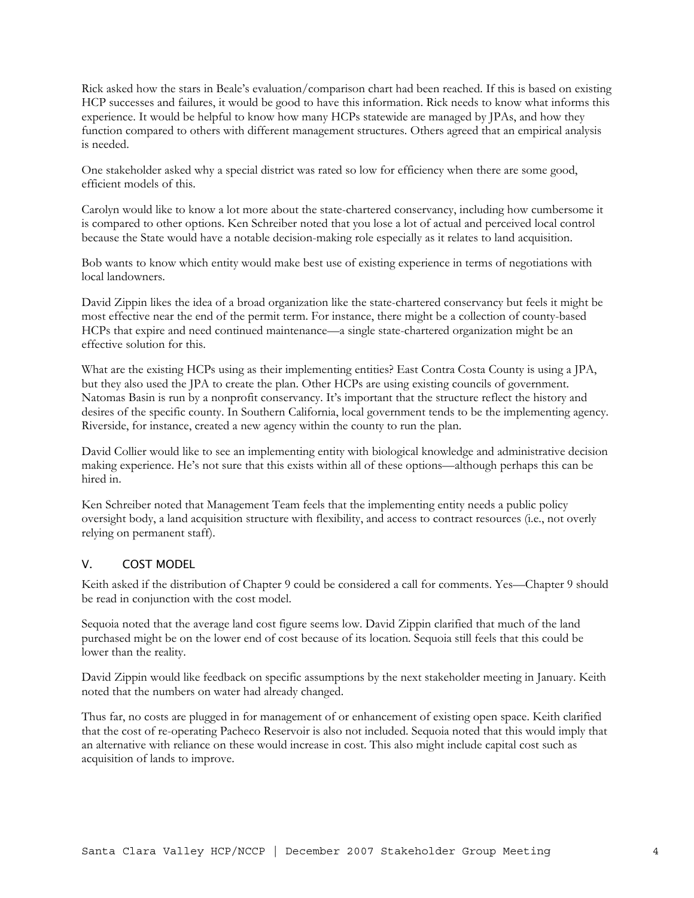Rick asked how the stars in Beale's evaluation/comparison chart had been reached. If this is based on existing HCP successes and failures, it would be good to have this information. Rick needs to know what informs this experience. It would be helpful to know how many HCPs statewide are managed by JPAs, and how they function compared to others with different management structures. Others agreed that an empirical analysis is needed.

One stakeholder asked why a special district was rated so low for efficiency when there are some good, efficient models of this.

Carolyn would like to know a lot more about the state-chartered conservancy, including how cumbersome it is compared to other options. Ken Schreiber noted that you lose a lot of actual and perceived local control because the State would have a notable decision-making role especially as it relates to land acquisition.

Bob wants to know which entity would make best use of existing experience in terms of negotiations with local landowners.

David Zippin likes the idea of a broad organization like the state-chartered conservancy but feels it might be most effective near the end of the permit term. For instance, there might be a collection of county-based HCPs that expire and need continued maintenance—a single state-chartered organization might be an effective solution for this.

What are the existing HCPs using as their implementing entities? East Contra Costa County is using a JPA, but they also used the JPA to create the plan. Other HCPs are using existing councils of government. Natomas Basin is run by a nonprofit conservancy. It's important that the structure reflect the history and desires of the specific county. In Southern California, local government tends to be the implementing agency. Riverside, for instance, created a new agency within the county to run the plan.

David Collier would like to see an implementing entity with biological knowledge and administrative decision making experience. He's not sure that this exists within all of these options—although perhaps this can be hired in.

Ken Schreiber noted that Management Team feels that the implementing entity needs a public policy oversight body, a land acquisition structure with flexibility, and access to contract resources (i.e., not overly relying on permanent staff).

### V. COST MODEL

Keith asked if the distribution of Chapter 9 could be considered a call for comments. Yes—Chapter 9 should be read in conjunction with the cost model.

Sequoia noted that the average land cost figure seems low. David Zippin clarified that much of the land purchased might be on the lower end of cost because of its location. Sequoia still feels that this could be lower than the reality.

David Zippin would like feedback on specific assumptions by the next stakeholder meeting in January. Keith noted that the numbers on water had already changed.

Thus far, no costs are plugged in for management of or enhancement of existing open space. Keith clarified that the cost of re-operating Pacheco Reservoir is also not included. Sequoia noted that this would imply that an alternative with reliance on these would increase in cost. This also might include capital cost such as acquisition of lands to improve.